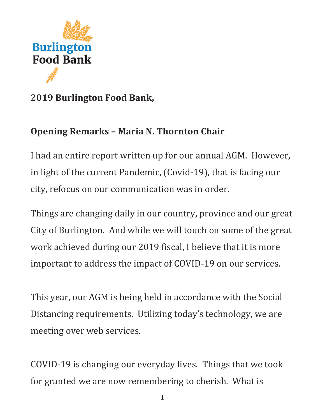

## **2019 Burlington Food Bank,**

## **Opening Remarks – Maria N. Thornton Chair**

I had an entire report written up for our annual AGM. However, in light of the current Pandemic, (Covid-19), that is facing our city, refocus on our communication was in order.

Things are changing daily in our country, province and our great City of Burlington. And while we will touch on some of the great work achieved during our 2019 fiscal, I believe that it is more important to address the impact of COVID-19 on our services.

This year, our AGM is being held in accordance with the Social Distancing requirements. Utilizing today's technology, we are meeting over web services.

COVID-19 is changing our everyday lives. Things that we took for granted we are now remembering to cherish. What is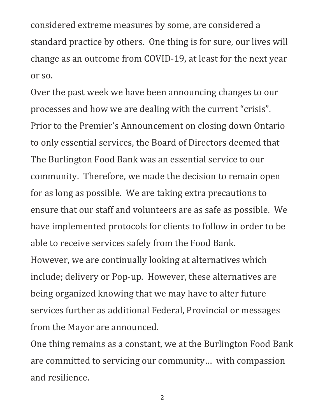considered extreme measures by some, are considered a standard practice by others. One thing is for sure, our lives will change as an outcome from COVID-19, at least for the next year or so.

Over the past week we have been announcing changes to our processes and how we are dealing with the current "crisis". Prior to the Premier's Announcement on closing down Ontario to only essential services, the Board of Directors deemed that The Burlington Food Bank was an essential service to our community. Therefore, we made the decision to remain open for as long as possible. We are taking extra precautions to ensure that our staff and volunteers are as safe as possible. We have implemented protocols for clients to follow in order to be able to receive services safely from the Food Bank. However, we are continually looking at alternatives which include; delivery or Pop-up. However, these alternatives are being organized knowing that we may have to alter future services further as additional Federal, Provincial or messages from the Mayor are announced.

One thing remains as a constant, we at the Burlington Food Bank are committed to servicing our community… with compassion and resilience.

2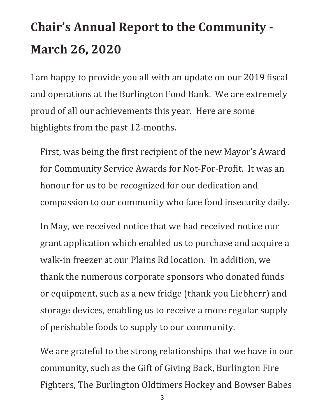# **Chair's Annual Report to the Community - March 26, 2020**

I am happy to provide you all with an update on our 2019 fiscal and operations at the Burlington Food Bank. We are extremely proud of all our achievements this year. Here are some highlights from the past 12-months.

First, was being the first recipient of the new Mayor's Award for Community Service Awards for Not-For-Profit. It was an honour for us to be recognized for our dedication and compassion to our community who face food insecurity daily.

In May, we received notice that we had received notice our grant application which enabled us to purchase and acquire a walk-in freezer at our Plains Rd location. In addition, we thank the numerous corporate sponsors who donated funds or equipment, such as a new fridge (thank you Liebherr) and storage devices, enabling us to receive a more regular supply of perishable foods to supply to our community.

We are grateful to the strong relationships that we have in our community, such as the Gift of Giving Back, Burlington Fire Fighters, The Burlington Oldtimers Hockey and Bowser Babes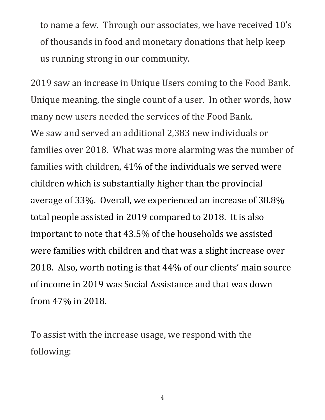to name a few. Through our associates, we have received 10's of thousands in food and monetary donations that help keep us running strong in our community.

2019 saw an increase in Unique Users coming to the Food Bank. Unique meaning, the single count of a user. In other words, how many new users needed the services of the Food Bank. We saw and served an additional 2,383 new individuals or families over 2018. What was more alarming was the number of families with children, 41% of the individuals we served were children which is substantially higher than the provincial average of 33%. Overall, we experienced an increase of 38.8% total people assisted in 2019 compared to 2018. It is also important to note that 43.5% of the households we assisted were families with children and that was a slight increase over 2018. Also, worth noting is that 44% of our clients' main source of income in 2019 was Social Assistance and that was down from 47% in 2018.

To assist with the increase usage, we respond with the following:

4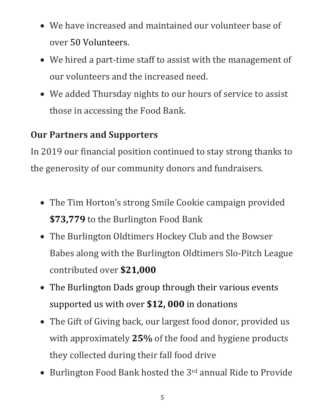- We have increased and maintained our volunteer base of over 50 Volunteers.
- We hired a part-time staff to assist with the management of our volunteers and the increased need.
- We added Thursday nights to our hours of service to assist those in accessing the Food Bank.

## **Our Partners and Supporters**

In 2019 our financial position continued to stay strong thanks to the generosity of our community donors and fundraisers.

- The Tim Horton's strong Smile Cookie campaign provided **\$73,779** to the Burlington Food Bank
- The Burlington Oldtimers Hockey Club and the Bowser Babes along with the Burlington Oldtimers Slo-Pitch League contributed over **\$21,000**
- The Burlington Dads group through their various events supported us with over **\$12, 000** in donations
- The Gift of Giving back, our largest food donor, provided us with approximately **25%** of the food and hygiene products they collected during their fall food drive
- Burlington Food Bank hosted the 3<sup>rd</sup> annual Ride to Provide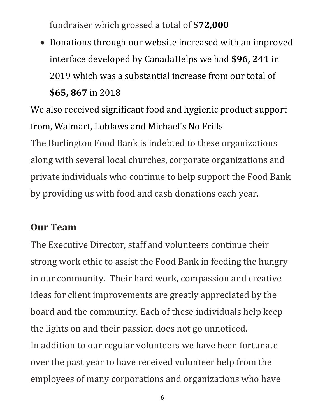fundraiser which grossed a total of **\$72,000**

• Donations through our website increased with an improved interface developed by CanadaHelps we had **\$96, 241** in 2019 which was a substantial increase from our total of **\$65, 867** in 2018

We also received significant food and hygienic product support from, Walmart, Loblaws and Michael's No Frills The Burlington Food Bank is indebted to these organizations along with several local churches, corporate organizations and private individuals who continue to help support the Food Bank by providing us with food and cash donations each year.

## **Our Team**

The Executive Director, staff and volunteers continue their strong work ethic to assist the Food Bank in feeding the hungry in our community. Their hard work, compassion and creative ideas for client improvements are greatly appreciated by the board and the community. Each of these individuals help keep the lights on and their passion does not go unnoticed. In addition to our regular volunteers we have been fortunate over the past year to have received volunteer help from the employees of many corporations and organizations who have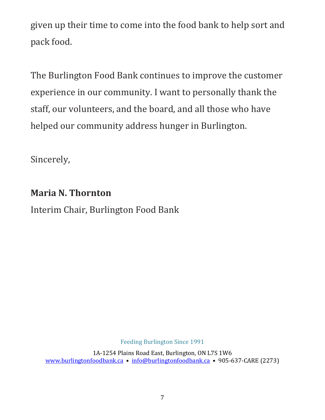given up their time to come into the food bank to help sort and pack food.

The Burlington Food Bank continues to improve the customer experience in our community. I want to personally thank the staff, our volunteers, and the board, and all those who have helped our community address hunger in Burlington.

Sincerely,

## **Maria N. Thornton**

Interim Chair, Burlington Food Bank

Feeding Burlington Since 1991

1A-1254 Plains Road East, Burlington, ON L7S 1W6 [www.burlingtonfoodbank.ca](http://www.burlingtonfoodbank.ca/) • [info@burlingtonfoodbank.ca](mailto:info@burlingtonfoodbank.ca%E2%80%A2) • 905-637-CARE (2273)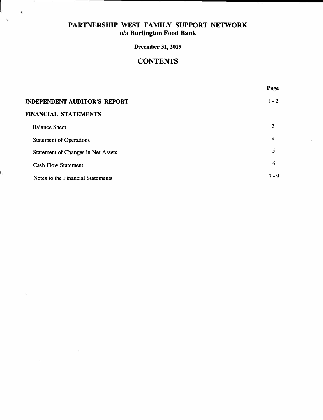ä

Ŷ.

Ė

#### **December 31, 2019**

## **CONTENTS**

**Page** 

| <b>INDEPENDENT AUDITOR'S REPORT</b> |       |
|-------------------------------------|-------|
| <b>FINANCIAL STATEMENTS</b>         |       |
| <b>Balance Sheet</b>                | 3     |
| <b>Statement of Operations</b>      | 4     |
| Statement of Changes in Net Assets  | 5     |
| <b>Cash Flow Statement</b>          | 6     |
| Notes to the Financial Statements   | 7 - 9 |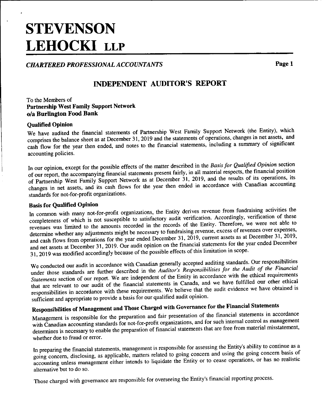# **STEVENSON LEHOCKI LLP**

**CHARTERED PROFESSIONAL ACCOUNTANTS** 

Page 1

## **INDEPENDENT AUDITOR'S REPORT**

To the Members of **Partnership West Family Support Network** o/a Burlington Food Bank

#### **Qualified Opinion**

We have audited the financial statements of Partnership West Family Support Network (the Entity), which comprises the balance sheet as at December 31, 2019 and the statements of operations, changes in net assets, and cash flow for the year then ended, and notes to the financial statements, including a summary of significant accounting policies.

In our opinion, except for the possible effects of the matter described in the Basis for Qualified Opinion section of our report, the accompanying financial statements present fairly, in all material respects, the financial position of Partnership West Family Support Network as at December 31, 2019, and the results of its operations, its changes in net assets, and its cash flows for the year then ended in accordance with Canadian accounting standards for not-for-profit organizations.

#### **Basis for Qualified Opinion**

In common with many not-for-profit organizations, the Entity derives revenue from fundraising activities the completeness of which is not susceptible to satisfactory audit verification. Accordingly, verification of these revenues was limited to the amounts recorded in the records of the Entity. Therefore, we were not able to determine whether any adjustments might be necessary to fundraising revenue, excess of revenues over expenses, and cash flows from operations for the year ended December 31,  $2019$ , current assets as at December 31, 2019, and net assets at December 31, 2019. Our audit opinion on the financial statements for the year ended December 31, 2019 was modified accordingly because of the possible effects of this limitation in scope.

We conducted our audit in accordance with Canadian generally accepted auditing standards. Our responsibilities under those standards are further described in the Auditor's Responsibilities for the Audit of the Financial Statements section of our report. We are independent of the Entity in accordance with the ethical requirements that are relevant to our audit of the financial statements in Canada, and we have fulfilled our other ethical responsibilities in accordance with these requirements. We believe that the audit evidence we have obtained is sufficient and appropriate to provide a basis for our qualified audit opinion.

## Responsibilities of Management and Those Charged with Governance for the Financial Statements

Management is responsible for the preparation and fair presentation of the financial statements in accordance with Canadian accounting standards for not-for-profit organizations, and for such internal control as management determines is necessary to enable the preparation of financial statements that are free from material misstatement, whether due to fraud or error.

In preparing the financial statements, management is responsible for assessing the Entity's ability to continue as a going concern, disclosing, as applicable, matters related to going concern and using the going concern basis of accounting unless management either intends to liquidate the Entity or to cease operations, or has no realistic alternative but to do so.

Those charged with governance are responsible for overseeing the Entity's financial reporting process.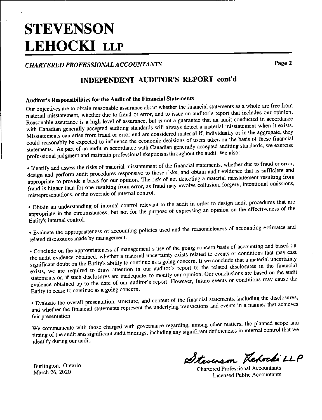# **STEVENSON LEHOCKI LLP**

#### **CHARTERED PROFESSIONAL ACCOUNTANTS**

Page 2

## INDEPENDENT AUDITOR'S REPORT cont'd

### Auditor's Responsibilities for the Audit of the Financial Statements

Our objectives are to obtain reasonable assurance about whether the financial statements as a whole are free from material misstatement, whether due to fraud or error, and to issue an auditor's report that includes our opinion. Reasonable assurance is a high level of assurance, but is not a guarantee that an audit conducted in accordance with Canadian generally accepted auditing standards will always detect a material misstatement when it exists. Misstatements can arise from fraud or error and are considered material if, individually or in the aggregate, they could reasonably be expected to influence the economic decisions of users taken on the basis of these financial statements. As part of an audit in accordance with Canadian generally accepted auditing standards, we exercise professional judgment and maintain professional skepticism throughout the audit. We also:

· Identify and assess the risks of material misstatement of the financial statements, whether due to fraud or error, design and perform audit procedures responsive to those risks, and obtain audit evidence that is sufficient and appropriate to provide a basis for our opinion. The risk of not detecting a material misstatement resulting from fraud is higher than for one resulting from error, as fraud may involve collusion, forgery, intentional omissions, misrepresentations, or the override of internal control.

· Obtain an understanding of internal control relevant to the audit in order to design audit procedures that are appropriate in the circumstances, but not for the purpose of expressing an opinion on the effectiveness of the Entity's internal control.

· Evaluate the appropriateness of accounting policies used and the reasonableness of accounting estimates and related disclosures made by management.

• Conclude on the appropriateness of management's use of the going concern basis of accounting and based on the audit evidence obtained, whether a material uncertainty exists related to events or conditions that may cast significant doubt on the Entity's ability to continue as a going concern. If we conclude that a material uncertainty exists, we are required to draw attention in our auditor's report to the related disclosures in the financial statements or, if such disclosures are inadequate, to modify our opinion. Our conclusions are based on the audit evidence obtained up to the date of our auditor's report. However, future events or conditions may cause the Entity to cease to continue as a going concern.

• Evaluate the overall presentation, structure, and content of the financial statements, including the disclosures, and whether the financial statements represent the underlying transactions and events in a manner that achieves fair presentation.

We communicate with those charged with governance regarding, among other matters, the planned scope and timing of the audit and significant audit findings, including any significant deficiencies in internal control that we identify during our audit.

Burlington, Ontario March 26, 2020

Stevenson Lehocki LLP

**Chartered Professional Accountants Licensed Public Accountants**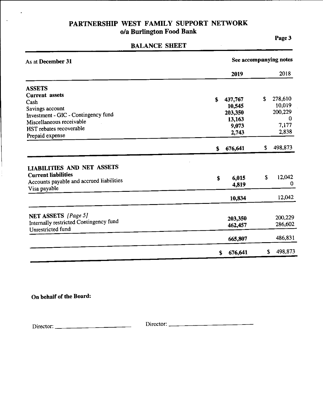#### **BALANCE SHEET**

Page 3

 $\mathcal{A}^{\mathcal{A}}$ 

| As at December 31                                                                                                           | See accompanying notes |    |             |
|-----------------------------------------------------------------------------------------------------------------------------|------------------------|----|-------------|
|                                                                                                                             | 2019                   |    | 2018        |
| <b>ASSETS</b>                                                                                                               |                        |    |             |
| <b>Current</b> assets                                                                                                       |                        | \$ | 278,610     |
| Cash                                                                                                                        | \$<br>437,767          |    | 10,019      |
| Savings account                                                                                                             | 10,545                 |    | 200,229     |
| Investment - GIC - Contingency fund                                                                                         | 203,350                |    | 0           |
| Miscellaneous receivable                                                                                                    | 13,163                 |    |             |
| HST rebates recoverable                                                                                                     | 9,073                  |    | 7,177       |
| Prepaid expense                                                                                                             | 2,743                  |    | 2,838       |
|                                                                                                                             | \$<br>676,641          | \$ | 498,873     |
| <b>LIABILITIES AND NET ASSETS</b><br><b>Current liabilities</b><br>Accounts payable and accrued liabilities<br>Visa payable | \$<br>6,015<br>4,819   | S  | 12,042<br>0 |
|                                                                                                                             | 10,834                 |    | 12,042      |
|                                                                                                                             |                        |    |             |
| NET ASSETS [Page 5]                                                                                                         | 203,350                |    | 200,229     |
| Internally restricted Contingency fund<br>Unrestricted fund                                                                 | 462,457                |    | 286,602     |
|                                                                                                                             | 665,807                |    | 486,831     |
|                                                                                                                             | \$<br>676,641          | \$ | 498,873     |

On behalf of the Board:

 $\ddot{\phantom{0}}$ 

 $\mathcal{A}$ 

 $\frac{1}{2}$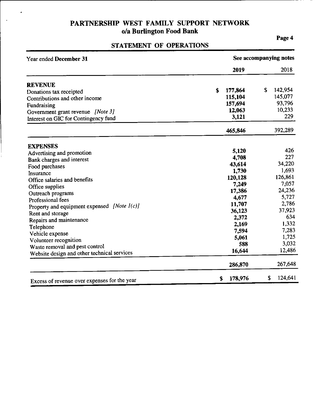J.

 $\ddot{\phantom{a}}$ 

### STATEMENT OF OPERATIONS

Page 4

| Year ended December 31                       | See accompanying notes |               |  |  |
|----------------------------------------------|------------------------|---------------|--|--|
|                                              | 2019                   | 2018          |  |  |
| <b>REVENUE</b>                               |                        |               |  |  |
| Donations tax receipted                      | \$<br>177,864          | 142,954<br>\$ |  |  |
| Contributions and other income               | 115,104                | 145,077       |  |  |
| Fundraising                                  | 157,694                | 93,796        |  |  |
| Government grant revenue [Note 3]            | 12,063                 | 10,233        |  |  |
| Interest on GIC for Contingency fund         | 3,121                  | 229           |  |  |
|                                              | 465,846                | 392,289       |  |  |
| <b>EXPENSES</b>                              |                        |               |  |  |
| Advertising and promotion                    | 5,120                  | 426           |  |  |
| Bank charges and interest                    | 4.708                  | 227           |  |  |
| Food purchases                               | 43,614                 | 34,220        |  |  |
| Insurance                                    | 1,730                  | 1,693         |  |  |
| Office salaries and benefits                 | 120,128                | 126,861       |  |  |
| Office supplies                              | 7,249                  | 7,057         |  |  |
| Outreach programs                            | 17,386                 | 24,236        |  |  |
| Professional fees                            | 4,677                  | 5,727         |  |  |
| Property and equipment expensed [Note 1(c)]  | 11,707                 | 2,786         |  |  |
| Rent and storage                             | 36,123                 | 37,923        |  |  |
| Repairs and maintenance                      | 2,372                  | 634           |  |  |
| Telephone                                    | 2,169                  | 1,332         |  |  |
| Vehicle expense                              | 7,594                  | 7,283         |  |  |
| Volunteer recognition                        | 5,061                  | 1,725         |  |  |
| Waste removal and pest control               | 588                    | 3,032         |  |  |
| Website design and other technical services  | 16,644                 | 12,486        |  |  |
|                                              | 286,870                | 267,648       |  |  |
| Excess of revenue over expenses for the year | 178,976<br>S           | 124,641<br>\$ |  |  |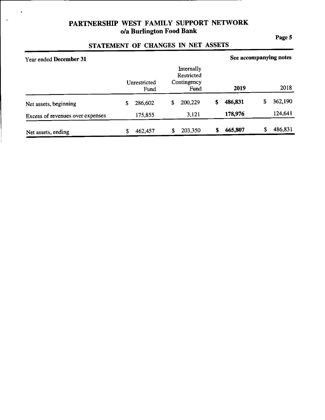$\cdot$ 

 $\ddot{\phantom{a}}$ 

#### Page 5

## STATEMENT OF CHANGES IN NET ASSETS

| Year ended December 31           |                      |                                                 | See accompanying notes |               |
|----------------------------------|----------------------|-------------------------------------------------|------------------------|---------------|
|                                  | Unrestricted<br>Fund | Internally<br>Restricted<br>Contingency<br>Fund | 2019                   | 2018          |
| Net assets, beginning            | 286,602<br>\$        | 200,229<br>S                                    | 486,831<br>S           | 362,190<br>\$ |
| Excess of revenues over expenses | 175,855              | 3,121                                           | 178,976                | 124,641       |
| Net assets, ending               | 462,457<br>S         | 203,350                                         | 665,807                | 486,831<br>S  |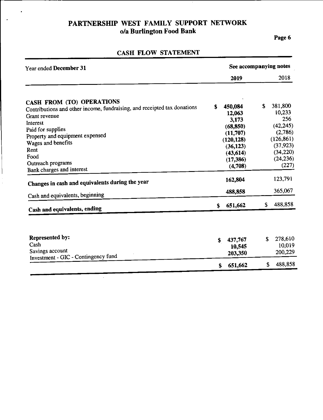$\ddot{\phantom{0}}$ 

Page 6

| Year ended December 31                                                   |    | See accompanying notes |    |                        |  |
|--------------------------------------------------------------------------|----|------------------------|----|------------------------|--|
|                                                                          |    | 2019                   |    | 2018                   |  |
| CASH FROM (TO) OPERATIONS                                                |    |                        |    |                        |  |
| Contributions and other income, fundraising, and receipted tax donations | S  | 450,084                | \$ | 381,800                |  |
| Grant revenue                                                            |    | 12,063                 |    | 10,233                 |  |
| Interest                                                                 |    | 3,173                  |    | 256                    |  |
| Paid for supplies                                                        |    | (68, 850)              |    | (42, 245)              |  |
| Property and equipment expensed                                          |    | (11,707)               |    | (2,786)                |  |
| Wages and benefits                                                       |    | (120.128)              |    | (126, 861)             |  |
| Rent                                                                     |    | (36, 123)              |    | (37, 923)<br>(34, 220) |  |
| Food                                                                     |    | (43, 614)              |    | (24, 236)              |  |
| Outreach programs                                                        |    | (17, 386)              |    | (227)                  |  |
| Bank charges and interest                                                |    | (4,708)                |    |                        |  |
| Changes in cash and equivalents during the year                          |    | 162,804                |    | 123,791                |  |
| Cash and equivalents, beginning                                          |    | 488,858                |    | 365,067                |  |
| Cash and equivalents, ending                                             | \$ | 651,662                | \$ | 488,858                |  |
|                                                                          |    |                        |    |                        |  |
| Represented by:                                                          | \$ | 437,767                | \$ | 278,610                |  |
| Cash                                                                     |    | 10,545                 |    | 10,019                 |  |
| Savings account<br>Investment - GIC - Contingency fund                   |    | 203,350                |    | 200,229                |  |
|                                                                          | \$ | 651,662                | S  | 488,858                |  |

## CASH FLOW STATEMENT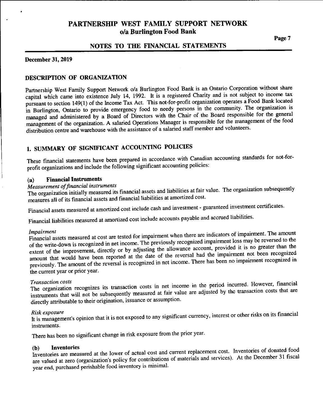#### NOTES TO THE FINANCIAL STATEMENTS

#### **December 31, 2019**

#### DESCRIPTION OF ORGANIZATION

Partnership West Family Support Network o/a Burlington Food Bank is an Ontario Corporation without share capital which came into existence July 14, 1992. It is a registered Charity and is not subject to income tax pursuant to section 149(1) of the Income Tax Act. This not-for-profit organization operates a Food Bank located in Burlington, Ontario to provide emergency food to needy persons in the community. The organization is managed and administered by a Board of Directors with the Chair of the Board responsible for the general management of the organization. A salaried Operations Manager is responsible for the management of the food distribution centre and warehouse with the assistance of a salaried staff member and volunteers.

### 1. SUMMARY OF SIGNIFICANT ACCOUNTING POLICIES

These financial statements have been prepared in accordance with Canadian accounting standards for not-forprofit organizations and include the following significant accounting policies:

#### **Financial Instruments**  $(a)$

#### Measurement of financial instruments

The organization initially measured its financial assets and liabilities at fair value. The organization subsequently measures all of its financial assets and financial liabilities at amortized cost.

Financial assets measured at amortized cost include cash and investment - guaranteed investment certificates.

Financial liabilities measured at amortized cost include accounts payable and accrued liabilities.

#### *Impairment*

Financial assets measured at cost are tested for impairment when there are indicators of impairment. The amount of the write-down is recognized in net income. The previously recognized impairment loss may be reversed to the extent of the improvement, directly or by adjusting the allowance account, provided it is no greater than the amount that would have been reported at the date of the reversal had the impairment not been recognized previously. The amount of the reversal is recognized in net income. There has been no impairment recognized in the current year or prior year.

#### **Transaction costs**

The organization recognizes its transaction costs in net income in the period incurred. However, financial instruments that will not be subsequently measured at fair value are adjusted by the transaction costs that are directly attributable to their origination, issuance or assumption.

#### Risk exposure

It is management's opinion that it is not exposed to any significant currency, interest or other risks on its financial instruments.

There has been no significant change in risk exposure from the prior year.

#### **Inventories** (b)

Inventories are measured at the lower of actual cost and current replacement cost. Inventories of donated food are valued at zero (organization's policy for contributions of materials and services). At the December 31 fiscal year end, purchased perishable food inventory is minimal.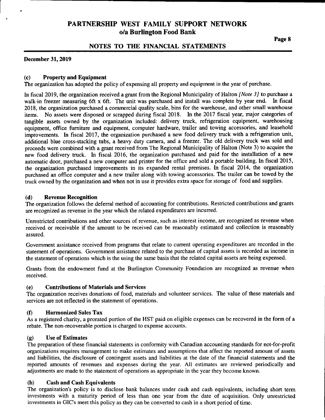#### NOTES TO THE FINANCIAL STATEMENTS

#### December 31, 2019

#### $(c)$ **Property and Equipment**

The organization has adopted the policy of expensing all property and equipment in the year of purchase.

In fiscal 2019, the organization received a grant from the Regional Municipality of Halton *[Note 3]* to purchase a walk-in freezer measuring 6ft x 6ft. The unit was purchased and install was complete by year end. In fiscal 2018, the organization purchased a commercial quality scale, bins for the warehouse, and other small warehouse items. No assets were disposed or scrapped during fiscal 2018. In the 2017 fiscal year, major categories of tangible assets owned by the organization included: delivery truck, refrigeration equipment, warehousing equipment, office furniture and equipment, computer hardware, trailer and towing accessories, and leasehold improvements. In fiscal 2017, the organization purchased a new food delivery truck with a refrigeration unit, additional blue cross-stacking tubs, a heavy duty camera, and a freezer. The old delivery truck was sold and proceeds were combined with a grant received from The Regional Municipality of Halton (Note 3) to acquire the new food delivery truck. In fiscal 2016, the organization purchased and paid for the installation of a new automatic door, purchased a new computer and printer for the office and sold a portable building. In fiscal 2015, the organization purchased improvements in its expanded rental premises. In fiscal 2014, the organization purchased an office computer and a new trailer along with towing accessories. The trailer can be towed by the truck owned by the organization and when not in use it provides extra space for storage of food and supplies.

#### $(d)$ **Revenue Recognition**

The organization follows the deferral method of accounting for contributions. Restricted contributions and grants are recognized as revenue in the year which the related expenditures are incurred.

Unrestricted contributions and other sources of revenue, such as interest income, are recognized as revenue when received or receivable if the amount to be received can be reasonably estimated and collection is reasonably assured.

Government assistance received from programs that relate to current operating expenditures are recorded in the statement of operations. Government assistance related to the purchase of capital assets is recorded as income in the statement of operations which is the using the same basis that the related capital assets are being expensed.

Grants from the endowment fund at the Burlington Community Foundation are recognized as revenue when received.

#### **Contributions of Materials and Services**  $(e)$

The organization receives donations of food, materials and volunteer services. The value of these materials and services are not reflected in the statement of operations.

#### $(f)$ **Harmonized Sales Tax**

As a registered charity, a prorated portion of the HST paid on eligible expenses can be recovered in the form of a rebate. The non-recoverable portion is charged to expense accounts.

#### **Use of Estimates**  $\left( \mathbf{q} \right)$

The preparation of these financial statements in conformity with Canadian accounting standards for not-for-profit organizations requires management to make estimates and assumptions that affect the reported amount of assets and liabilities, the disclosure of contingent assets and liabilities at the date of the financial statements and the reported amounts of revenues and expenses during the year. All estimates are reviewed periodically and adjustments are made to the statement of operations as appropriate in the year they become known.

#### $(h)$ **Cash and Cash Equivalents**

The organization's policy is to disclose bank balances under cash and cash equivalents, including short term investments with a maturity period of less than one year from the date of acquisition. Only unrestricted investments in GIC's meet this policy as they can be converted to cash in a short period of time.